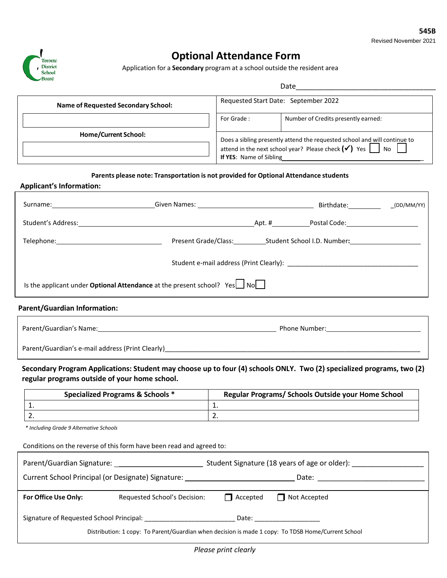

# **Optional Attendance Form**

Application for a **Secondary** program at a school outside the resident area

| <b>Name of Requested Secondary School:</b> | Requested Start Date: September 2022                                                                                                                                       |                                     |  |
|--------------------------------------------|----------------------------------------------------------------------------------------------------------------------------------------------------------------------------|-------------------------------------|--|
| Home/Current School:                       | For Grade:                                                                                                                                                                 | Number of Credits presently earned: |  |
|                                            | Does a sibling presently attend the requested school and will continue to<br>attend in the next school year? Please check $(\checkmark)$ Yes No<br>If YES: Name of Sibling |                                     |  |

### **Parents please note: Transportation is not provided for Optional Attendance students**

| <b>Applicant's Information:</b>     |                                                                                             |  |  |
|-------------------------------------|---------------------------------------------------------------------------------------------|--|--|
|                                     | Surname: (DD/MM/YY) Given Names: Contact Dental Birthdate: CDD/MM/YY)                       |  |  |
|                                     |                                                                                             |  |  |
|                                     |                                                                                             |  |  |
|                                     |                                                                                             |  |  |
|                                     | Is the applicant under <b>Optional Attendance</b> at the present school? $Yes \cup No \cup$ |  |  |
| <b>Parent/Guardian Information:</b> |                                                                                             |  |  |

| Parent/Guardian's Name:                          | Phone Number: |
|--------------------------------------------------|---------------|
| Parent/Guardian's e-mail address (Print Clearly) |               |

**Secondary Program Applications: Student may choose up to four (4) schools ONLY. Two (2) specialized programs, two (2) regular programs outside of your home school.** 

| <b>Specialized Programs &amp; Schools *</b> | Regular Programs/ Schools Outside your Home School |  |  |
|---------------------------------------------|----------------------------------------------------|--|--|
|                                             | <u>. на с</u>                                      |  |  |
| <u>.</u>                                    | <u>.</u>                                           |  |  |

*\* Including Grade 9 Alternative Schools*

Conditions on the reverse of this form have been read and agreed to:

| Parent/Guardian Signature:                                                                         |                              | Student Signature (18 years of age or older):                                                                                                                                                                                  |                     |  |  |
|----------------------------------------------------------------------------------------------------|------------------------------|--------------------------------------------------------------------------------------------------------------------------------------------------------------------------------------------------------------------------------|---------------------|--|--|
| Current School Principal (or Designate) Signature:                                                 |                              | Date:                                                                                                                                                                                                                          |                     |  |  |
| For Office Use Only:                                                                               | Requested School's Decision: | $\Box$ Accepted                                                                                                                                                                                                                | $\Box$ Not Accepted |  |  |
| Signature of Requested School Principal:                                                           |                              | Date: the contract of the contract of the contract of the contract of the contract of the contract of the contract of the contract of the contract of the contract of the contract of the contract of the contract of the cont |                     |  |  |
| Distribution: 1 copy: To Parent/Guardian when decision is made 1 copy: To TDSB Home/Current School |                              |                                                                                                                                                                                                                                |                     |  |  |